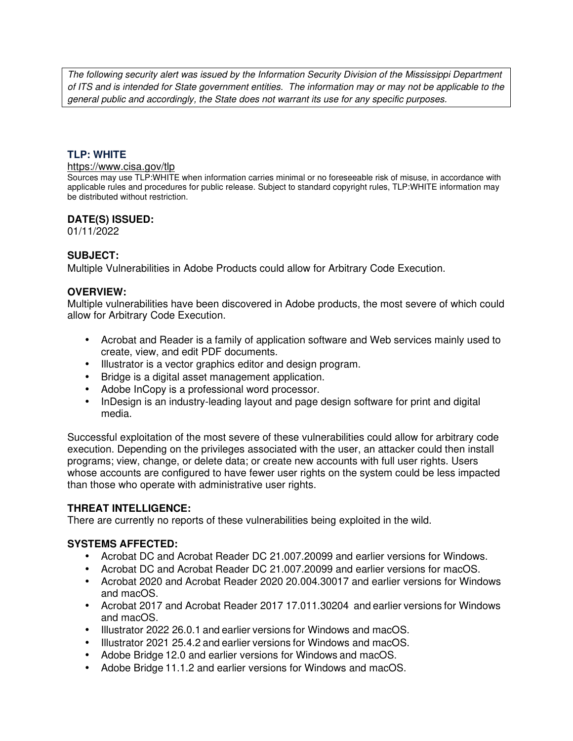The following security alert was issued by the Information Security Division of the Mississippi Department of ITS and is intended for State government entities. The information may or may not be applicable to the general public and accordingly, the State does not warrant its use for any specific purposes.

### **TLP: WHITE**

#### https://www.cisa.gov/tlp

Sources may use TLP:WHITE when information carries minimal or no foreseeable risk of misuse, in accordance with applicable rules and procedures for public release. Subject to standard copyright rules, TLP:WHITE information may be distributed without restriction.

### **DATE(S) ISSUED:**

01/11/2022

## **SUBJECT:**

Multiple Vulnerabilities in Adobe Products could allow for Arbitrary Code Execution.

### **OVERVIEW:**

Multiple vulnerabilities have been discovered in Adobe products, the most severe of which could allow for Arbitrary Code Execution.

- Acrobat and Reader is a family of application software and Web services mainly used to create, view, and edit PDF documents.
- Illustrator is a vector graphics editor and design program.
- Bridge is a digital asset management application.
- Adobe InCopy is a professional word processor.
- InDesign is an industry-leading layout and page design software for print and digital media.

Successful exploitation of the most severe of these vulnerabilities could allow for arbitrary code execution. Depending on the privileges associated with the user, an attacker could then install programs; view, change, or delete data; or create new accounts with full user rights. Users whose accounts are configured to have fewer user rights on the system could be less impacted than those who operate with administrative user rights.

#### **THREAT INTELLIGENCE:**

There are currently no reports of these vulnerabilities being exploited in the wild.

## **SYSTEMS AFFECTED:**

- Acrobat DC and Acrobat Reader DC 21.007.20099 and earlier versions for Windows.
- Acrobat DC and Acrobat Reader DC 21.007.20099 and earlier versions for macOS.
- Acrobat 2020 and Acrobat Reader 2020 20.004.30017 and earlier versions for Windows and macOS.
- Acrobat 2017 and Acrobat Reader 2017 17.011.30204 and earlier versions for Windows and macOS.
- Illustrator 2022 26.0.1 and earlier versions for Windows and macOS.
- Illustrator 2021 25.4.2 and earlier versions for Windows and macOS.
- Adobe Bridge 12.0 and earlier versions for Windows and macOS.
- Adobe Bridge 11.1.2 and earlier versions for Windows and macOS.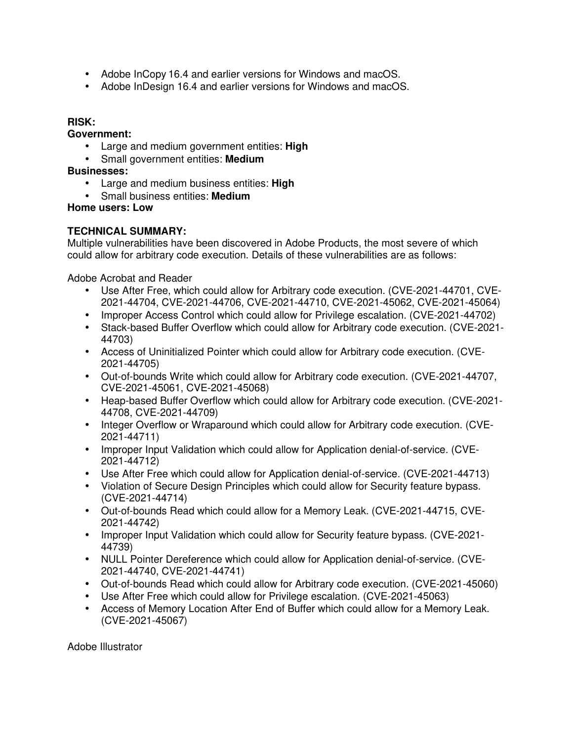- Adobe InCopy 16.4 and earlier versions for Windows and macOS.
- Adobe InDesign 16.4 and earlier versions for Windows and macOS.

#### **RISK:**

### **Government:**

- Large and medium government entities: **High**
- Small government entities: **Medium**

## **Businesses:**

- Large and medium business entities: **High**
- Small business entities: **Medium**

## **Home users: Low**

## **TECHNICAL SUMMARY:**

Multiple vulnerabilities have been discovered in Adobe Products, the most severe of which could allow for arbitrary code execution. Details of these vulnerabilities are as follows:

Adobe Acrobat and Reader

- Use After Free, which could allow for Arbitrary code execution. (CVE-2021-44701, CVE-2021-44704, CVE-2021-44706, CVE-2021-44710, CVE-2021-45062, CVE-2021-45064)
- Improper Access Control which could allow for Privilege escalation. (CVE-2021-44702)
- Stack-based Buffer Overflow which could allow for Arbitrary code execution. (CVE-2021- 44703)
- Access of Uninitialized Pointer which could allow for Arbitrary code execution. (CVE-2021-44705)
- Out-of-bounds Write which could allow for Arbitrary code execution. (CVE-2021-44707, CVE-2021-45061, CVE-2021-45068)
- Heap-based Buffer Overflow which could allow for Arbitrary code execution. (CVE-2021- 44708, CVE-2021-44709)
- Integer Overflow or Wraparound which could allow for Arbitrary code execution. (CVE-2021-44711)
- Improper Input Validation which could allow for Application denial-of-service. (CVE-2021-44712)
- Use After Free which could allow for Application denial-of-service. (CVE-2021-44713)
- Violation of Secure Design Principles which could allow for Security feature bypass. (CVE-2021-44714)
- Out-of-bounds Read which could allow for a Memory Leak. (CVE-2021-44715, CVE-2021-44742)
- Improper Input Validation which could allow for Security feature bypass. (CVE-2021- 44739)
- NULL Pointer Dereference which could allow for Application denial-of-service. (CVE-2021-44740, CVE-2021-44741)
- Out-of-bounds Read which could allow for Arbitrary code execution. (CVE-2021-45060)
- Use After Free which could allow for Privilege escalation. (CVE-2021-45063)
- Access of Memory Location After End of Buffer which could allow for a Memory Leak. (CVE-2021-45067)

Adobe Illustrator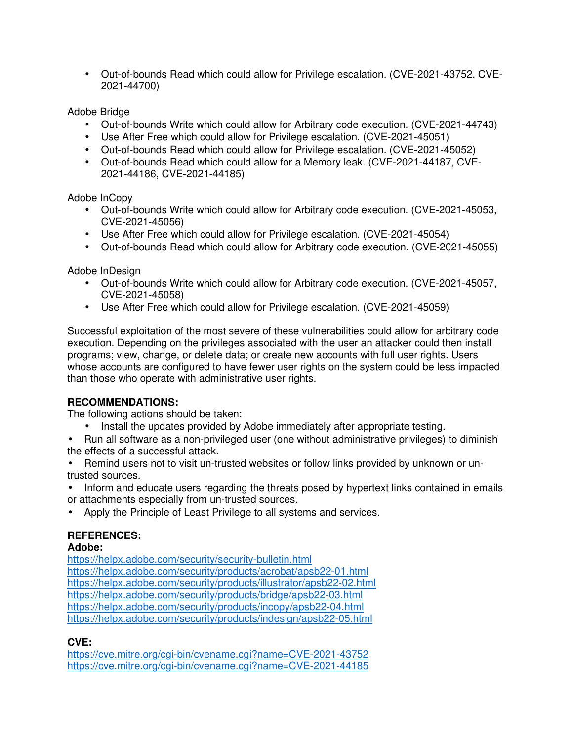• Out-of-bounds Read which could allow for Privilege escalation. (CVE-2021-43752, CVE-2021-44700)

## Adobe Bridge

- Out-of-bounds Write which could allow for Arbitrary code execution. (CVE-2021-44743)
- Use After Free which could allow for Privilege escalation. (CVE-2021-45051)
- Out-of-bounds Read which could allow for Privilege escalation. (CVE-2021-45052)
- Out-of-bounds Read which could allow for a Memory leak. (CVE-2021-44187, CVE-2021-44186, CVE-2021-44185)

## Adobe InCopy

- Out-of-bounds Write which could allow for Arbitrary code execution. (CVE-2021-45053, CVE-2021-45056)
- Use After Free which could allow for Privilege escalation. (CVE-2021-45054)
- Out-of-bounds Read which could allow for Arbitrary code execution. (CVE-2021-45055)

## Adobe InDesign

- Out-of-bounds Write which could allow for Arbitrary code execution. (CVE-2021-45057, CVE-2021-45058)
- Use After Free which could allow for Privilege escalation. (CVE-2021-45059)

Successful exploitation of the most severe of these vulnerabilities could allow for arbitrary code execution. Depending on the privileges associated with the user an attacker could then install programs; view, change, or delete data; or create new accounts with full user rights. Users whose accounts are configured to have fewer user rights on the system could be less impacted than those who operate with administrative user rights.

## **RECOMMENDATIONS:**

The following actions should be taken:

• Install the updates provided by Adobe immediately after appropriate testing.

• Run all software as a non-privileged user (one without administrative privileges) to diminish the effects of a successful attack.

• Remind users not to visit un-trusted websites or follow links provided by unknown or untrusted sources.

• Inform and educate users regarding the threats posed by hypertext links contained in emails or attachments especially from un-trusted sources.

• Apply the Principle of Least Privilege to all systems and services.

# **REFERENCES:**

## **Adobe:**

https://helpx.adobe.com/security/security-bulletin.html https://helpx.adobe.com/security/products/acrobat/apsb22-01.html https://helpx.adobe.com/security/products/illustrator/apsb22-02.html https://helpx.adobe.com/security/products/bridge/apsb22-03.html https://helpx.adobe.com/security/products/incopy/apsb22-04.html https://helpx.adobe.com/security/products/indesign/apsb22-05.html

# **CVE:**

https://cve.mitre.org/cgi-bin/cvename.cgi?name=CVE-2021-43752 https://cve.mitre.org/cgi-bin/cvename.cgi?name=CVE-2021-44185